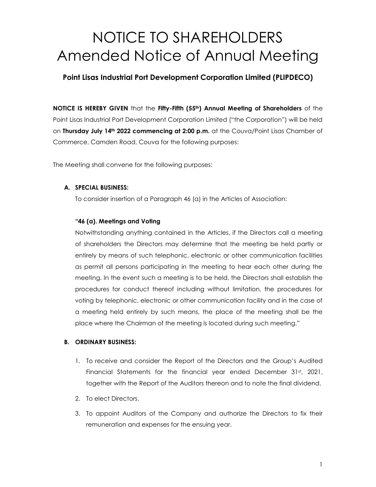# NOTICE TO SHAREHOLDERS Amended Notice of Annual Meeting

## **Point Lisas Industrial Port Development Corporation Limited (PLIPDECO)**

**NOTICE IS HEREBY GIVEN** that the **Fifty-Fifth (55th) Annual Meeting of Shareholders** of the Point Lisas Industrial Port Development Corporation Limited ("the Corporation") will be held on **Thursday July 14th 2022 commencing at 2:00 p.m.** at the Couva/Point Lisas Chamber of Commerce, Camden Road, Couva for the following purposes:

The Meeting shall convene for the following purposes:

### **A. SPECIAL BUSINESS:**

To consider insertion of a Paragraph 46 (a) in the Articles of Association:

### **"46 (a). Meetings and Voting**

Notwithstanding anything contained in the Articles, if the Directors call a meeting of shareholders the Directors may determine that the meeting be held partly or entirely by means of such telephonic, electronic or other communication facilities as permit all persons participating in the meeting to hear each other during the meeting. In the event such a meeting is to be held, the Directors shall establish the procedures for conduct thereof including without limitation, the procedures for voting by telephonic, electronic or other communication facility and in the case of a meeting held entirely by such means, the place of the meeting shall be the place where the Chairman of the meeting is located during such meeting."

#### **B. ORDINARY BUSINESS:**

- 1. To receive and consider the Report of the Directors and the Group's Audited Financial Statements for the financial year ended December 31st, 2021, together with the Report of the Auditors thereon and to note the final dividend.
- 2. To elect Directors.
- 3. To appoint Auditors of the Company and authorize the Directors to fix their remuneration and expenses for the ensuing year.